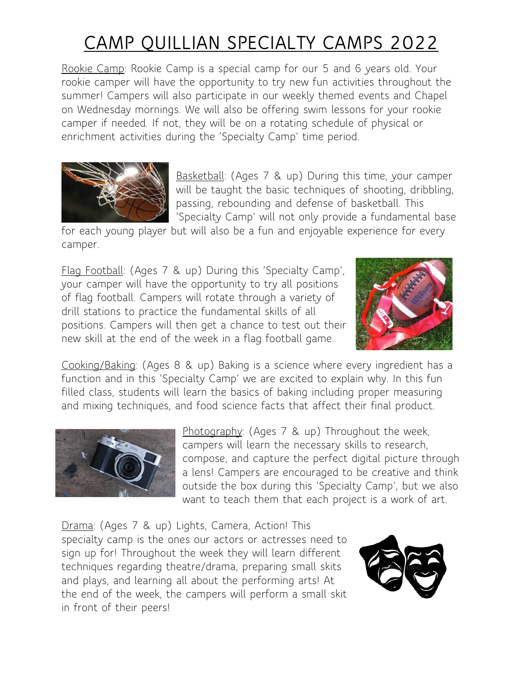Rookie Camp: Rookie Camp is a special camp for our 5 and 6 years old. Your rookie camper will have the opportunity to try new fun activities throughout the summer! Campers will also participate in our weekly themed events and Chapel on Wednesday mornings. We will also be offering swim lessons for your rookie camper if needed. If not, they will be on a rotating schedule of physical or enrichment activities during the 'Specialty Camp' time period.



Basketball: (Ages 7 & up) During this time, your camper will be taught the basic techniques of shooting, dribbling, passing, rebounding and defense of basketball. This 'Specialty Camp' will not only provide a fundamental base

for each young player but will also be a fun and enjoyable experience for every camper.

Flag Football: (Ages 7 & up) During this 'Specialty Camp', your camper will have the opportunity to try all positions of flag football. Campers will rotate through a variety of drill stations to practice the fundamental skills of all positions. Campers will then get a chance to test out their new skill at the end of the week in a flag football game.



Cooking/Baking: (Ages 8 & up) Baking is a science where every ingredient has a function and in this 'Specialty Camp' we are excited to explain why. In this fun filled class, students will learn the basics of baking including proper measuring and mixing techniques, and food science facts that affect their final product.



Photography: (Ages 7 & up) Throughout the week, campers will learn the necessary skills to research, compose, and capture the perfect digital picture through a lens! Campers are encouraged to be creative and think outside the box during this 'Specialty Camp', but we also want to teach them that each project is a work of art.

Drama: (Ages 7 & up) Lights, Camera, Action! This specialty camp is the ones our actors or actresses need to sign up for! Throughout the week they will learn different techniques regarding theatre/drama, preparing small skits and plays, and learning all about the performing arts! At the end of the week, the campers will perform a small skit in front of their peers!

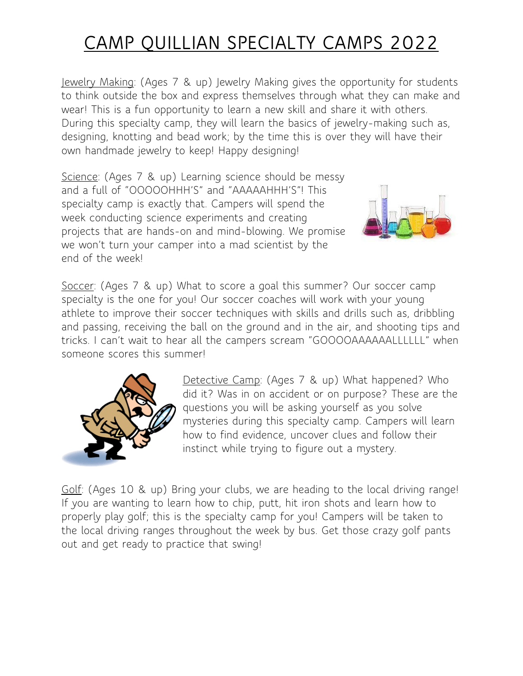Jewelry Making: (Ages 7 & up) Jewelry Making gives the opportunity for students to think outside the box and express themselves through what they can make and wear! This is a fun opportunity to learn a new skill and share it with others. During this specialty camp, they will learn the basics of jewelry-making such as, designing, knotting and bead work; by the time this is over they will have their own handmade jewelry to keep! Happy designing!

Science: (Ages 7 & up) Learning science should be messy and a full of "OOOOOHHH'S" and "AAAAAHHH'S"! This specialty camp is exactly that. Campers will spend the week conducting science experiments and creating projects that are hands-on and mind-blowing. We promise we won't turn your camper into a mad scientist by the end of the week!



Soccer: (Ages 7 & up) What to score a goal this summer? Our soccer camp specialty is the one for you! Our soccer coaches will work with your young athlete to improve their soccer techniques with skills and drills such as, dribbling and passing, receiving the ball on the ground and in the air, and shooting tips and tricks. I can't wait to hear all the campers scream "GOOOOAAAAAALLLLLL" when someone scores this summer!



Detective Camp: (Ages 7 & up) What happened? Who did it? Was in on accident or on purpose? These are the questions you will be asking yourself as you solve mysteries during this specialty camp. Campers will learn how to find evidence, uncover clues and follow their instinct while trying to figure out a mystery.

Golf: (Ages 10 & up) Bring your clubs, we are heading to the local driving range! If you are wanting to learn how to chip, putt, hit iron shots and learn how to properly play golf; this is the specialty camp for you! Campers will be taken to the local driving ranges throughout the week by bus. Get those crazy golf pants out and get ready to practice that swing!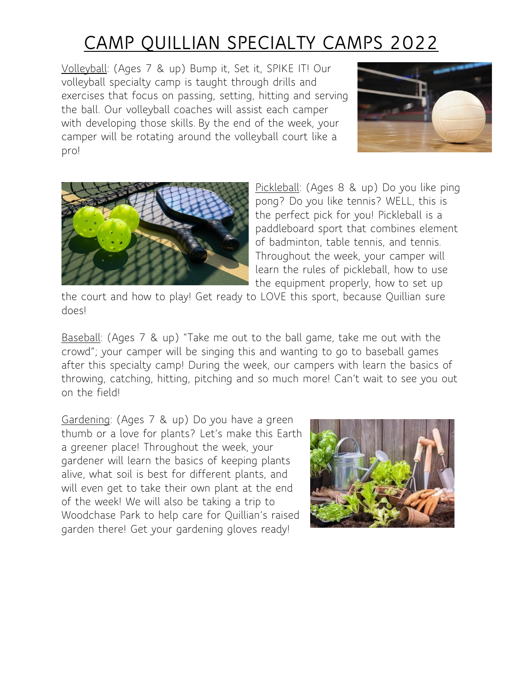Volleyball: (Ages 7 & up) Bump it, Set it, SPIKE IT! Our volleyball specialty camp is taught through drills and exercises that focus on passing, setting, hitting and serving the ball. Our volleyball coaches will assist each camper with developing those skills. By the end of the week, your camper will be rotating around the volleyball court like a pro!





Pickleball: (Ages 8 & up) Do you like ping pong? Do you like tennis? WELL, this is the perfect pick for you! Pickleball is a paddleboard sport that combines element of badminton, table tennis, and tennis. Throughout the week, your camper will learn the rules of pickleball, how to use the equipment properly, how to set up

the court and how to play! Get ready to LOVE this sport, because Quillian sure does!

Baseball: (Ages 7 & up) "Take me out to the ball game, take me out with the crowd"; your camper will be singing this and wanting to go to baseball games after this specialty camp! During the week, our campers with learn the basics of throwing, catching, hitting, pitching and so much more! Can't wait to see you out on the field!

Gardening: (Ages 7 & up) Do you have a green thumb or a love for plants? Let's make this Earth a greener place! Throughout the week, your gardener will learn the basics of keeping plants alive, what soil is best for different plants, and will even get to take their own plant at the end of the week! We will also be taking a trip to Woodchase Park to help care for Quillian's raised garden there! Get your gardening gloves ready!

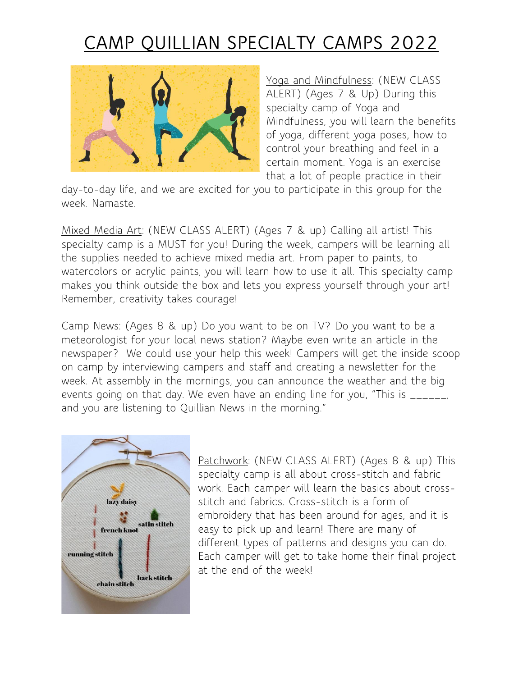

Yoga and Mindfulness: (NEW CLASS ALERT) (Ages 7 & Up) During this specialty camp of Yoga and Mindfulness, you will learn the benefits of yoga, different yoga poses, how to control your breathing and feel in a certain moment. Yoga is an exercise that a lot of people practice in their

day-to-day life, and we are excited for you to participate in this group for the week. Namaste.

Mixed Media Art: (NEW CLASS ALERT) (Ages 7 & up) Calling all artist! This specialty camp is a MUST for you! During the week, campers will be learning all the supplies needed to achieve mixed media art. From paper to paints, to watercolors or acrylic paints, you will learn how to use it all. This specialty camp makes you think outside the box and lets you express yourself through your art! Remember, creativity takes courage!

Camp News: (Ages 8 & up) Do you want to be on TV? Do you want to be a meteorologist for your local news station? Maybe even write an article in the newspaper? We could use your help this week! Campers will get the inside scoop on camp by interviewing campers and staff and creating a newsletter for the week. At assembly in the mornings, you can announce the weather and the big events going on that day. We even have an ending line for you, "This is \_\_\_\_\_, and you are listening to Quillian News in the morning."



Patchwork: (NEW CLASS ALERT) (Ages 8 & up) This specialty camp is all about cross-stitch and fabric work. Each camper will learn the basics about crossstitch and fabrics. Cross-stitch is a form of embroidery that has been around for ages, and it is easy to pick up and learn! There are many of different types of patterns and designs you can do. Each camper will get to take home their final project at the end of the week!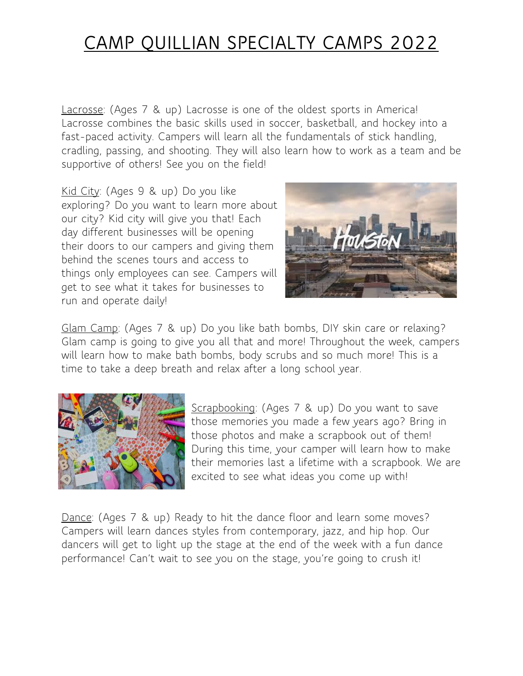Lacrosse: (Ages 7 & up) Lacrosse is one of the oldest sports in America! Lacrosse combines the basic skills used in soccer, basketball, and hockey into a fast-paced activity. Campers will learn all the fundamentals of stick handling, cradling, passing, and shooting. They will also learn how to work as a team and be supportive of others! See you on the field!

Kid City: (Ages 9 & up) Do you like exploring? Do you want to learn more about our city? Kid city will give you that! Each day different businesses will be opening their doors to our campers and giving them behind the scenes tours and access to things only employees can see. Campers will get to see what it takes for businesses to run and operate daily!



Glam Camp: (Ages 7 & up) Do you like bath bombs, DIY skin care or relaxing? Glam camp is going to give you all that and more! Throughout the week, campers will learn how to make bath bombs, body scrubs and so much more! This is a time to take a deep breath and relax after a long school year.



Scrapbooking: (Ages 7 & up) Do you want to save those memories you made a few years ago? Bring in those photos and make a scrapbook out of them! During this time, your camper will learn how to make their memories last a lifetime with a scrapbook. We are excited to see what ideas you come up with!

Dance: (Ages 7 & up) Ready to hit the dance floor and learn some moves? Campers will learn dances styles from contemporary, jazz, and hip hop. Our dancers will get to light up the stage at the end of the week with a fun dance performance! Can't wait to see you on the stage, you're going to crush it!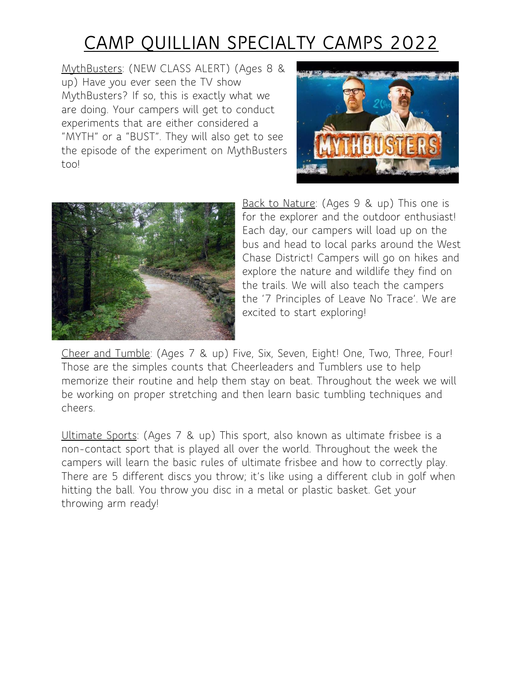MythBusters: (NEW CLASS ALERT) (Ages 8 & up) Have you ever seen the TV show MythBusters? If so, this is exactly what we are doing. Your campers will get to conduct experiments that are either considered a "MYTH" or a "BUST". They will also get to see the episode of the experiment on MythBusters too!





Back to Nature: (Ages 9 & up) This one is for the explorer and the outdoor enthusiast! Each day, our campers will load up on the bus and head to local parks around the West Chase District! Campers will go on hikes and explore the nature and wildlife they find on the trails. We will also teach the campers the '7 Principles of Leave No Trace'. We are excited to start exploring!

Cheer and Tumble: (Ages 7 & up) Five, Six, Seven, Eight! One, Two, Three, Four! Those are the simples counts that Cheerleaders and Tumblers use to help memorize their routine and help them stay on beat. Throughout the week we will be working on proper stretching and then learn basic tumbling techniques and cheers.

Ultimate Sports: (Ages 7 & up) This sport, also known as ultimate frisbee is a non-contact sport that is played all over the world. Throughout the week the campers will learn the basic rules of ultimate frisbee and how to correctly play. There are 5 different discs you throw; it's like using a different club in golf when hitting the ball. You throw you disc in a metal or plastic basket. Get your throwing arm ready!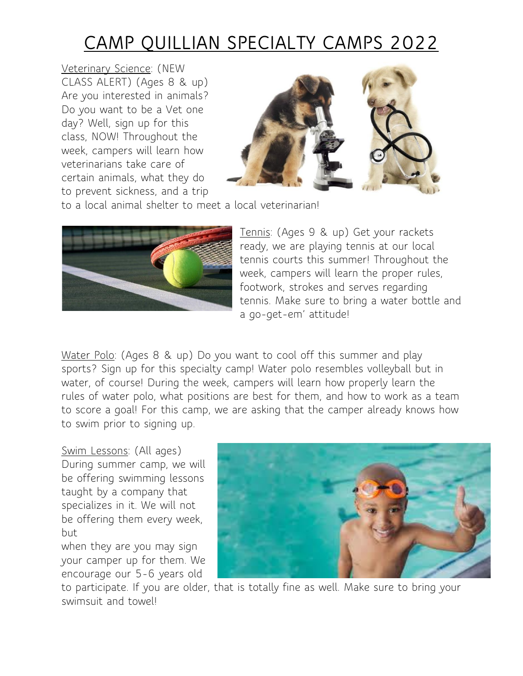Veterinary Science: (NEW CLASS ALERT) (Ages 8 & up) Are you interested in animals? Do you want to be a Vet one day? Well, sign up for this class, NOW! Throughout the week, campers will learn how veterinarians take care of certain animals, what they do to prevent sickness, and a trip



to a local animal shelter to meet a local veterinarian!



Tennis: (Ages 9 & up) Get your rackets ready, we are playing tennis at our local tennis courts this summer! Throughout the week, campers will learn the proper rules, footwork, strokes and serves regarding tennis. Make sure to bring a water bottle and a go-get-em' attitude!

Water Polo: (Ages 8 & up) Do you want to cool off this summer and play sports? Sign up for this specialty camp! Water polo resembles volleyball but in water, of course! During the week, campers will learn how properly learn the rules of water polo, what positions are best for them, and how to work as a team to score a goal! For this camp, we are asking that the camper already knows how to swim prior to signing up.

Swim Lessons: (All ages) During summer camp, we will be offering swimming lessons taught by a company that specializes in it. We will not be offering them every week, but

when they are you may sign your camper up for them. We encourage our 5-6 years old



to participate. If you are older, that is totally fine as well. Make sure to bring your swimsuit and towel!